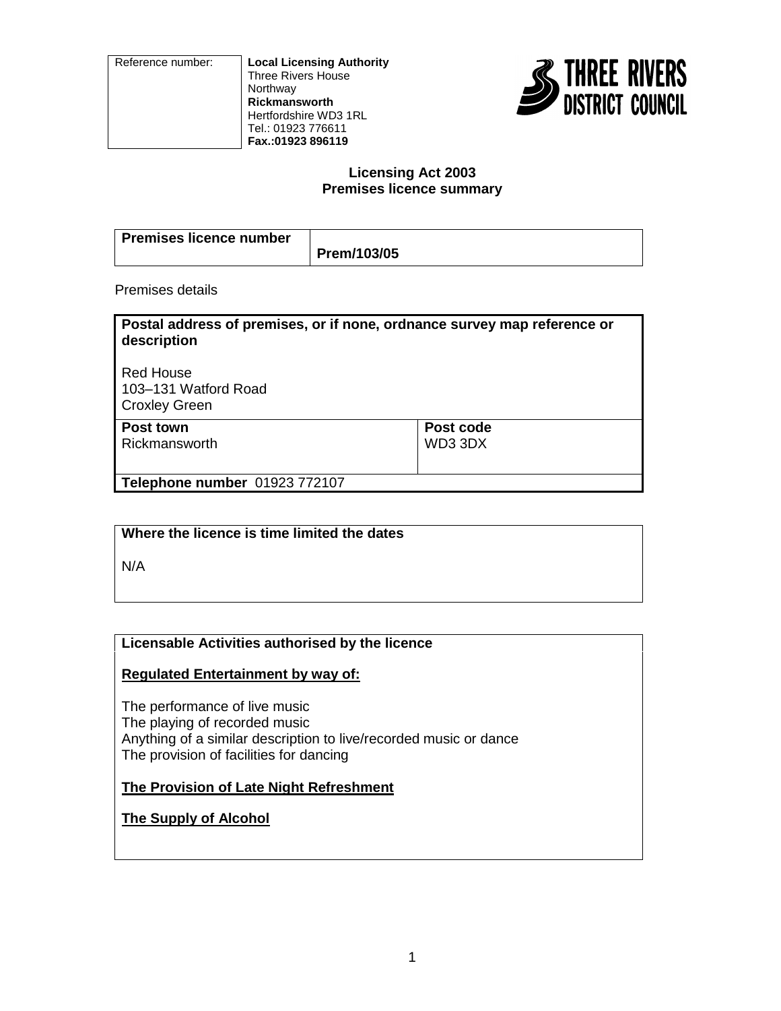Reference number: **Local Licensing Authority** Three Rivers House **Northway Rickmansworth** Hertfordshire WD3 1RL Tel.: 01923 776611 **Fax.:01923 896119**



### **Licensing Act 2003 Premises licence summary**

| Premises licence number |             |
|-------------------------|-------------|
|                         | Prem/103/05 |

Premises details

| Postal address of premises, or if none, ordnance survey map reference or<br>description |           |
|-----------------------------------------------------------------------------------------|-----------|
| <b>Red House</b><br>103-131 Watford Road<br><b>Croxley Green</b>                        |           |
| Post town                                                                               | Post code |
| Rickmansworth                                                                           | WD33DX    |
| Telephone number 01923 772107                                                           |           |

# **Where the licence is time limited the dates**

N/A

# **Licensable Activities authorised by the licence**

# **Regulated Entertainment by way of:**

The performance of live music The playing of recorded music Anything of a similar description to live/recorded music or dance The provision of facilities for dancing

# **The Provision of Late Night Refreshment**

# **The Supply of Alcohol**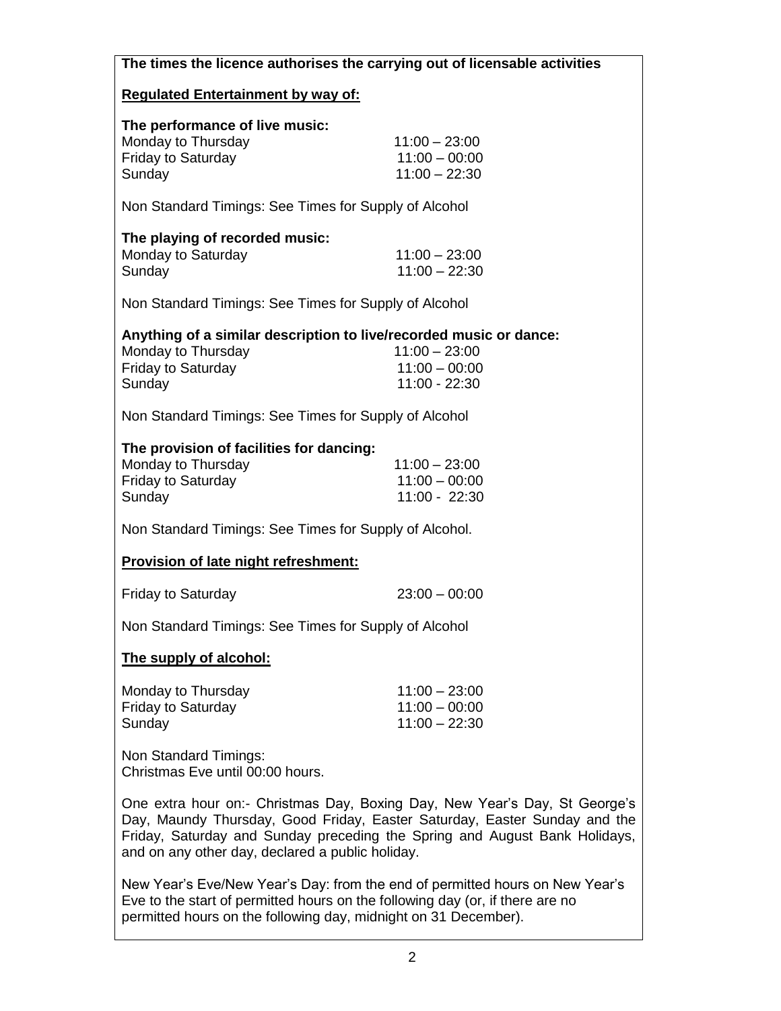| The times the licence authorises the carrying out of licensable activities                                                                                                                                                                                                                |                                                       |  |
|-------------------------------------------------------------------------------------------------------------------------------------------------------------------------------------------------------------------------------------------------------------------------------------------|-------------------------------------------------------|--|
| <b>Regulated Entertainment by way of:</b>                                                                                                                                                                                                                                                 |                                                       |  |
| The performance of live music:<br>Monday to Thursday<br><b>Friday to Saturday</b><br>Sunday                                                                                                                                                                                               | $11:00 - 23:00$<br>$11:00 - 00:00$<br>$11:00 - 22:30$ |  |
| Non Standard Timings: See Times for Supply of Alcohol                                                                                                                                                                                                                                     |                                                       |  |
| The playing of recorded music:<br>Monday to Saturday<br>Sunday                                                                                                                                                                                                                            | $11:00 - 23:00$<br>$11:00 - 22:30$                    |  |
| Non Standard Timings: See Times for Supply of Alcohol                                                                                                                                                                                                                                     |                                                       |  |
| Anything of a similar description to live/recorded music or dance:<br>Monday to Thursday<br><b>Friday to Saturday</b><br>Sunday                                                                                                                                                           | $11:00 - 23:00$<br>$11:00 - 00:00$<br>$11:00 - 22:30$ |  |
| Non Standard Timings: See Times for Supply of Alcohol                                                                                                                                                                                                                                     |                                                       |  |
| The provision of facilities for dancing:<br>Monday to Thursday<br><b>Friday to Saturday</b><br>Sunday                                                                                                                                                                                     | $11:00 - 23:00$<br>$11:00 - 00:00$<br>11:00 - 22:30   |  |
| Non Standard Timings: See Times for Supply of Alcohol.                                                                                                                                                                                                                                    |                                                       |  |
| Provision of late night refreshment:                                                                                                                                                                                                                                                      |                                                       |  |
| <b>Friday to Saturday</b>                                                                                                                                                                                                                                                                 | $23:00 - 00:00$                                       |  |
| Non Standard Timings: See Times for Supply of Alcohol                                                                                                                                                                                                                                     |                                                       |  |
| The supply of alcohol:                                                                                                                                                                                                                                                                    |                                                       |  |
| Monday to Thursday<br><b>Friday to Saturday</b><br>Sunday                                                                                                                                                                                                                                 | $11:00 - 23:00$<br>$11:00 - 00:00$<br>$11:00 - 22:30$ |  |
| Non Standard Timings:<br>Christmas Eve until 00:00 hours.                                                                                                                                                                                                                                 |                                                       |  |
| One extra hour on:- Christmas Day, Boxing Day, New Year's Day, St George's<br>Day, Maundy Thursday, Good Friday, Easter Saturday, Easter Sunday and the<br>Friday, Saturday and Sunday preceding the Spring and August Bank Holidays,<br>and on any other day, declared a public holiday. |                                                       |  |
| New Year's Eve/New Year's Day: from the end of permitted hours on New Year's                                                                                                                                                                                                              |                                                       |  |

New Year's Eve/New Year's Day: from the end of permitted hours on New Year's Eve to the start of permitted hours on the following day (or, if there are no permitted hours on the following day, midnight on 31 December).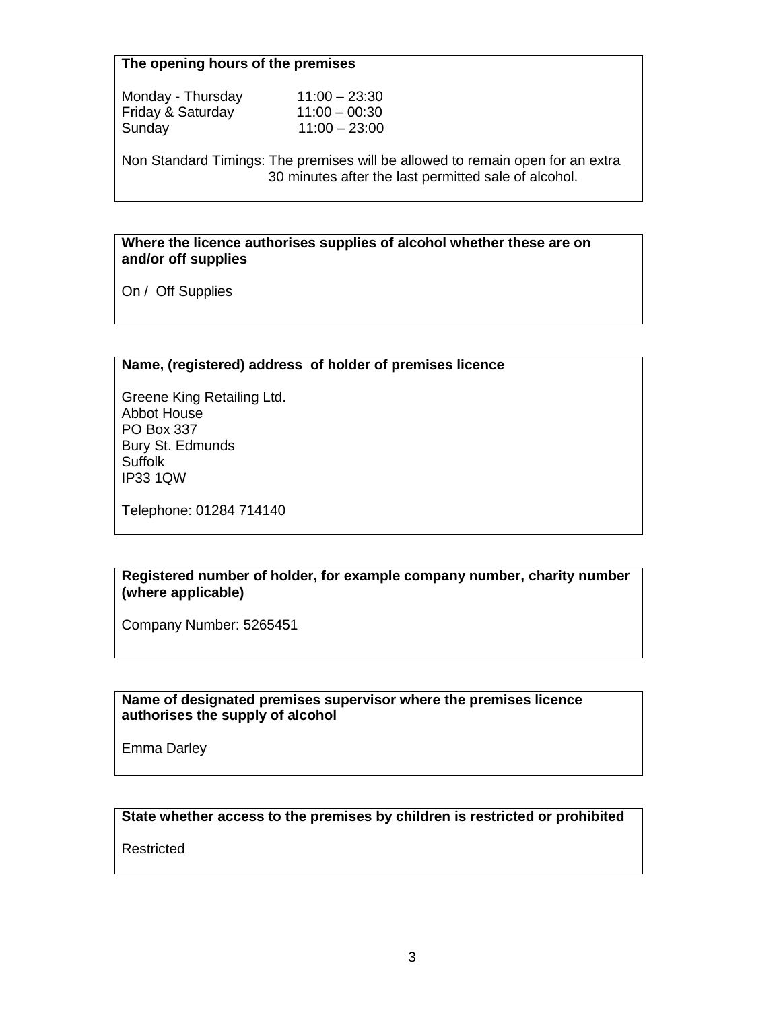## **The opening hours of the premises**

| Monday - Thursday | $11:00 - 23:30$ |
|-------------------|-----------------|
| Friday & Saturday | $11:00 - 00:30$ |
| Sunday            | $11:00 - 23:00$ |

Non Standard Timings: The premises will be allowed to remain open for an extra 30 minutes after the last permitted sale of alcohol.

#### **Where the licence authorises supplies of alcohol whether these are on and/or off supplies**

On / Off Supplies

# **Name, (registered) address of holder of premises licence**

Greene King Retailing Ltd. Abbot House PO Box 337 Bury St. Edmunds **Suffolk** IP33 1QW

Telephone: 01284 714140

#### **Registered number of holder, for example company number, charity number (where applicable)**

Company Number: 5265451

### **Name of designated premises supervisor where the premises licence authorises the supply of alcohol**

Emma Darley

# **State whether access to the premises by children is restricted or prohibited**

Restricted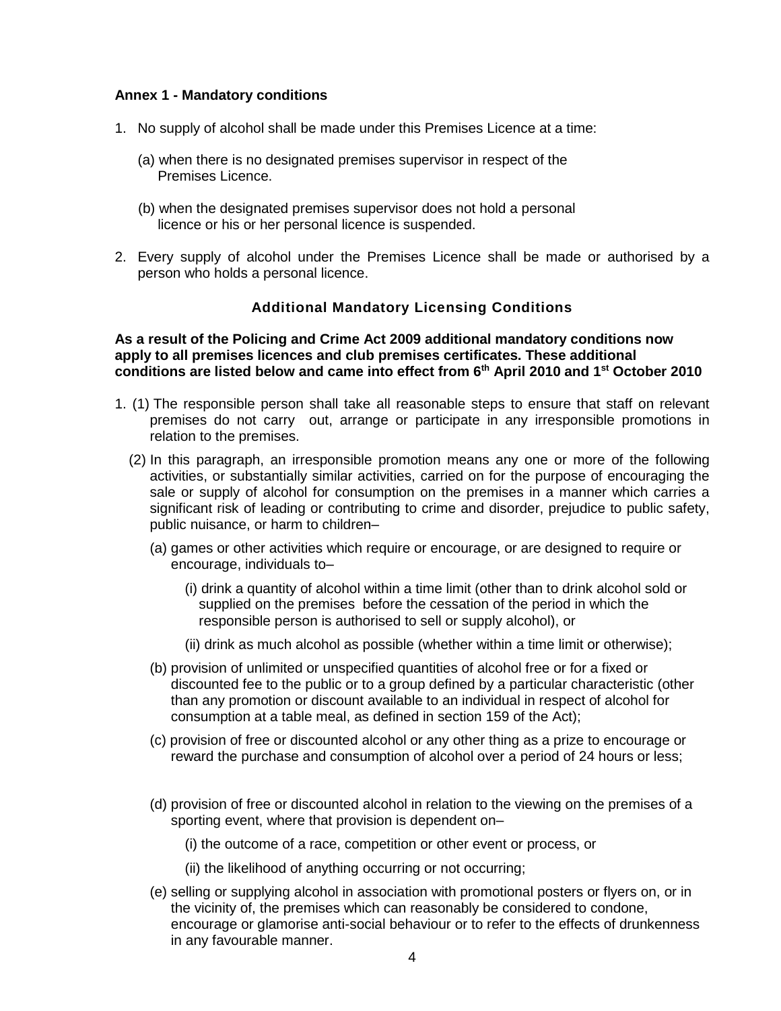#### **Annex 1 - Mandatory conditions**

- 1. No supply of alcohol shall be made under this Premises Licence at a time:
	- (a) when there is no designated premises supervisor in respect of the Premises Licence.
	- (b) when the designated premises supervisor does not hold a personal licence or his or her personal licence is suspended.
- 2. Every supply of alcohol under the Premises Licence shall be made or authorised by a person who holds a personal licence.

# **Additional Mandatory Licensing Conditions**

**As a result of the Policing and Crime Act 2009 additional mandatory conditions now apply to all premises licences and club premises certificates. These additional conditions are listed below and came into effect from 6th April 2010 and 1st October 2010**

- 1. (1) The responsible person shall take all reasonable steps to ensure that staff on relevant premises do not carry out, arrange or participate in any irresponsible promotions in relation to the premises.
	- (2) In this paragraph, an irresponsible promotion means any one or more of the following activities, or substantially similar activities, carried on for the purpose of encouraging the sale or supply of alcohol for consumption on the premises in a manner which carries a significant risk of leading or contributing to crime and disorder, prejudice to public safety, public nuisance, or harm to children–
		- (a) games or other activities which require or encourage, or are designed to require or encourage, individuals to–
			- (i) drink a quantity of alcohol within a time limit (other than to drink alcohol sold or supplied on the premises before the cessation of the period in which the responsible person is authorised to sell or supply alcohol), or
			- (ii) drink as much alcohol as possible (whether within a time limit or otherwise);
		- (b) provision of unlimited or unspecified quantities of alcohol free or for a fixed or discounted fee to the public or to a group defined by a particular characteristic (other than any promotion or discount available to an individual in respect of alcohol for consumption at a table meal, as defined in section 159 of the Act);
		- (c) provision of free or discounted alcohol or any other thing as a prize to encourage or reward the purchase and consumption of alcohol over a period of 24 hours or less;
		- (d) provision of free or discounted alcohol in relation to the viewing on the premises of a sporting event, where that provision is dependent on–
			- (i) the outcome of a race, competition or other event or process, or
			- (ii) the likelihood of anything occurring or not occurring;
		- (e) selling or supplying alcohol in association with promotional posters or flyers on, or in the vicinity of, the premises which can reasonably be considered to condone, encourage or glamorise anti-social behaviour or to refer to the effects of drunkenness in any favourable manner.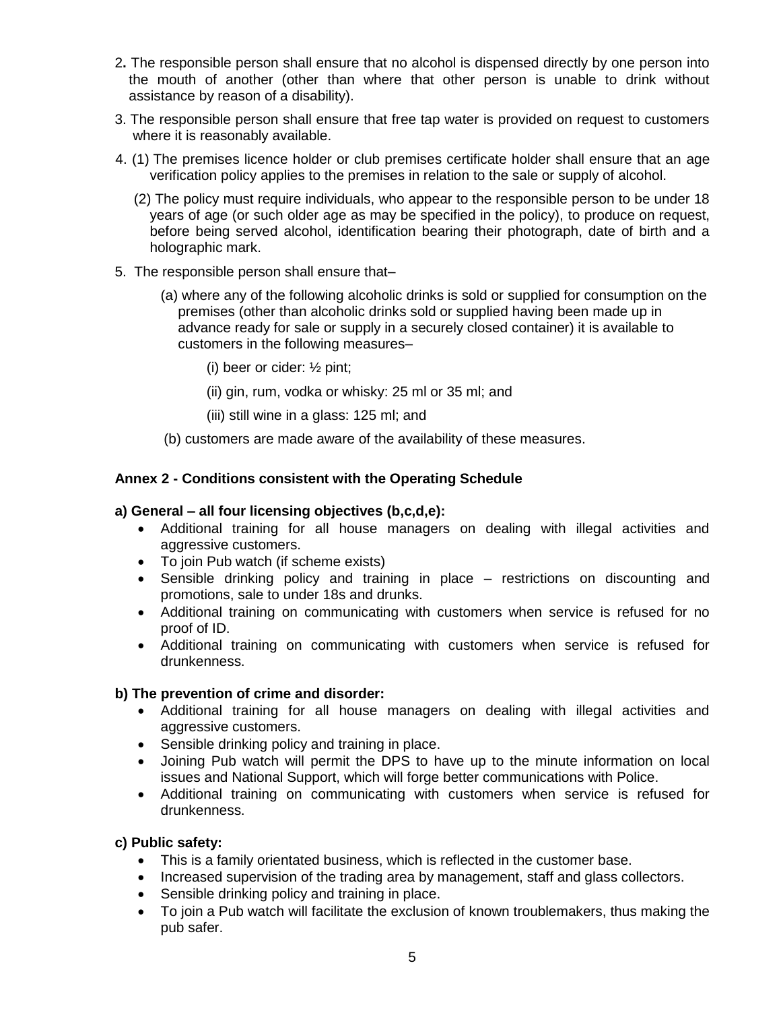- 2**.** The responsible person shall ensure that no alcohol is dispensed directly by one person into the mouth of another (other than where that other person is unable to drink without assistance by reason of a disability).
- 3. The responsible person shall ensure that free tap water is provided on request to customers where it is reasonably available.
- 4. (1) The premises licence holder or club premises certificate holder shall ensure that an age verification policy applies to the premises in relation to the sale or supply of alcohol.
	- (2) The policy must require individuals, who appear to the responsible person to be under 18 years of age (or such older age as may be specified in the policy), to produce on request, before being served alcohol, identification bearing their photograph, date of birth and a holographic mark.
- 5. The responsible person shall ensure that–
	- (a) where any of the following alcoholic drinks is sold or supplied for consumption on the premises (other than alcoholic drinks sold or supplied having been made up in advance ready for sale or supply in a securely closed container) it is available to customers in the following measures–
		- (i) beer or cider: ½ pint;
		- (ii) gin, rum, vodka or whisky: 25 ml or 35 ml; and
		- (iii) still wine in a glass: 125 ml; and
	- (b) customers are made aware of the availability of these measures.

# **Annex 2 - Conditions consistent with the Operating Schedule**

#### **a) General – all four licensing objectives (b,c,d,e):**

- Additional training for all house managers on dealing with illegal activities and aggressive customers.
- To join Pub watch (if scheme exists)
- Sensible drinking policy and training in place restrictions on discounting and promotions, sale to under 18s and drunks.
- Additional training on communicating with customers when service is refused for no proof of ID.
- Additional training on communicating with customers when service is refused for drunkenness.

# **b) The prevention of crime and disorder:**

- Additional training for all house managers on dealing with illegal activities and aggressive customers.
- Sensible drinking policy and training in place.
- Joining Pub watch will permit the DPS to have up to the minute information on local issues and National Support, which will forge better communications with Police.
- Additional training on communicating with customers when service is refused for drunkenness.

#### **c) Public safety:**

- This is a family orientated business, which is reflected in the customer base.
- Increased supervision of the trading area by management, staff and glass collectors.
- Sensible drinking policy and training in place.
- To join a Pub watch will facilitate the exclusion of known troublemakers, thus making the pub safer.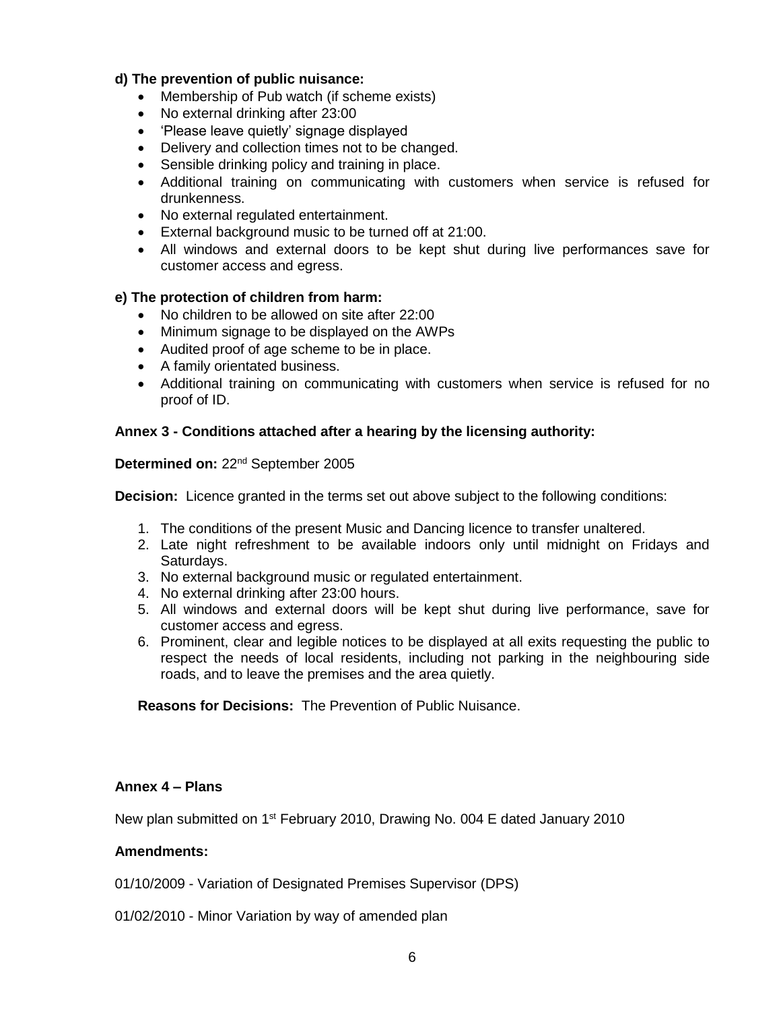# **d) The prevention of public nuisance:**

- Membership of Pub watch (if scheme exists)
- No external drinking after 23:00
- 'Please leave quietly' signage displayed
- Delivery and collection times not to be changed.
- Sensible drinking policy and training in place.
- Additional training on communicating with customers when service is refused for drunkenness.
- No external regulated entertainment.
- External background music to be turned off at 21:00.
- All windows and external doors to be kept shut during live performances save for customer access and egress.

#### **e) The protection of children from harm:**

- No children to be allowed on site after 22:00
- Minimum signage to be displayed on the AWPs
- Audited proof of age scheme to be in place.
- A family orientated business.
- Additional training on communicating with customers when service is refused for no proof of ID.

#### **Annex 3 - Conditions attached after a hearing by the licensing authority:**

## **Determined on:** 22nd September 2005

**Decision:** Licence granted in the terms set out above subject to the following conditions:

- 1. The conditions of the present Music and Dancing licence to transfer unaltered.
- 2. Late night refreshment to be available indoors only until midnight on Fridays and Saturdays.
- 3. No external background music or regulated entertainment.
- 4. No external drinking after 23:00 hours.
- 5. All windows and external doors will be kept shut during live performance, save for customer access and egress.
- 6. Prominent, clear and legible notices to be displayed at all exits requesting the public to respect the needs of local residents, including not parking in the neighbouring side roads, and to leave the premises and the area quietly.

**Reasons for Decisions:** The Prevention of Public Nuisance.

### **Annex 4 – Plans**

New plan submitted on 1<sup>st</sup> February 2010, Drawing No. 004 E dated January 2010

#### **Amendments:**

01/10/2009 - Variation of Designated Premises Supervisor (DPS)

01/02/2010 - Minor Variation by way of amended plan